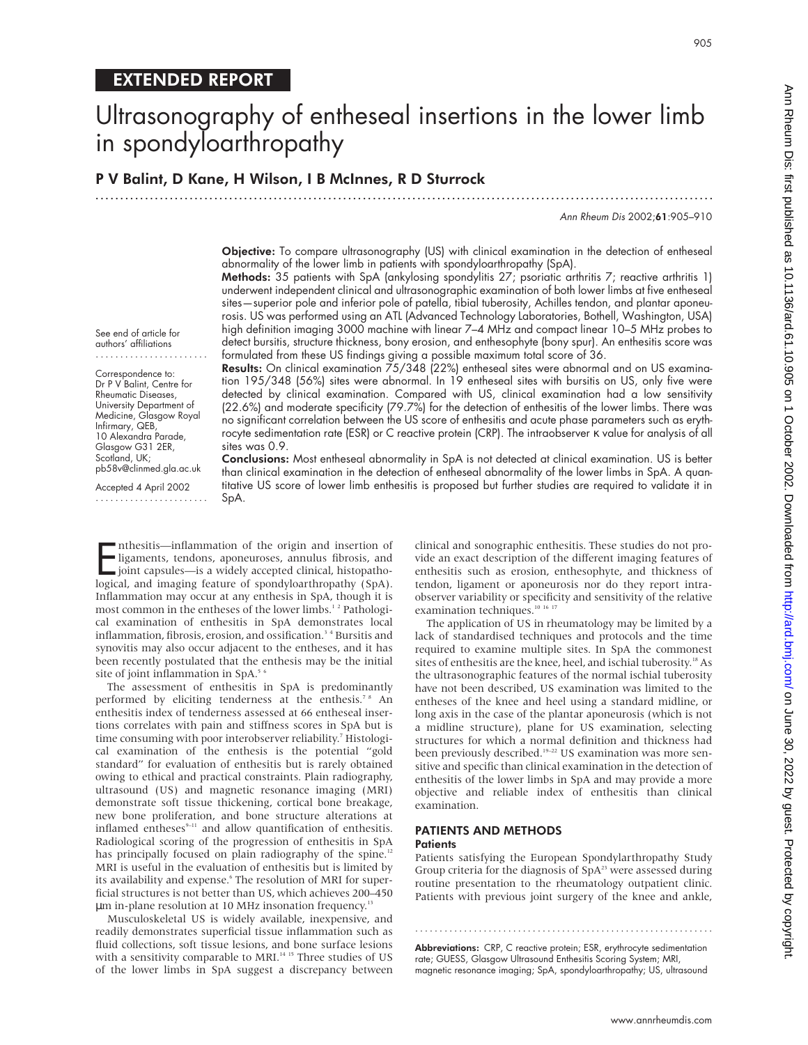See end of article for authors' affiliations ....................... Correspondence to: Dr P V Balint, Centre for Rheumatic Diseases, University Department of Medicine, Glasgow Royal Infirmary, QEB, 10 Alexandra Parade, Glasgow G31 2ER, Scotland, UK;

pb58v@clinmed.gla.ac.uk Accepted 4 April 2002 .......................

# Ultrasonography of entheseal insertions in the lower limb in spondyloarthropathy

.............................................................................................................................

P V Balint, D Kane, H Wilson, I B McInnes, R D Sturrock

Ann Rheum Dis 2002;61:905–910

Objective: To compare ultrasonography (US) with clinical examination in the detection of entheseal abnormality of the lower limb in patients with spondyloarthropathy (SpA).

Methods: 35 patients with SpA (ankylosing spondylitis 27; psoriatic arthritis 7; reactive arthritis 1) underwent independent clinical and ultrasonographic examination of both lower limbs at five entheseal sites—superior pole and inferior pole of patella, tibial tuberosity, Achilles tendon, and plantar aponeurosis. US was performed using an ATL (Advanced Technology Laboratories, Bothell, Washington, USA) high definition imaging 3000 machine with linear 7–4 MHz and compact linear 10–5 MHz probes to detect bursitis, structure thickness, bony erosion, and enthesophyte (bony spur). An enthesitis score was formulated from these US findings giving a possible maximum total score of 36.

Results: On clinical examination 75/348 (22%) entheseal sites were abnormal and on US examination 195/348 (56%) sites were abnormal. In 19 entheseal sites with bursitis on US, only five were detected by clinical examination. Compared with US, clinical examination had a low sensitivity (22.6%) and moderate specificity (79.7%) for the detection of enthesitis of the lower limbs. There was no significant correlation between the US score of enthesitis and acute phase parameters such as erythrocyte sedimentation rate (ESR) or C reactive protein (CRP). The intraobserver κ value for analysis of all sites was 0.9.

Conclusions: Most entheseal abnormality in SpA is not detected at clinical examination. US is better than clinical examination in the detection of entheseal abnormality of the lower limbs in SpA. A quantitative US score of lower limb enthesitis is proposed but further studies are required to validate it in SpA.

Inthesitis—inflammation of the origin and insertion of ligaments, tendons, aponeuroses, annulus fibrosis, and joint capsules—is a widely accepted clinical, histopathological, and imaging feature of spondyloarthropathy (SpA nthesitis—inflammation of the origin and insertion of ligaments, tendons, aponeuroses, annulus fibrosis, and joint capsules—is a widely accepted clinical, histopatho-Inflammation may occur at any enthesis in SpA, though it is most common in the entheses of the lower limbs.<sup>12</sup> Pathological examination of enthesitis in SpA demonstrates local inflammation, fibrosis, erosion, and ossification.<sup>34</sup> Bursitis and synovitis may also occur adjacent to the entheses, and it has been recently postulated that the enthesis may be the initial site of joint inflammation in SpA.<sup>5</sup>

The assessment of enthesitis in SpA is predominantly performed by eliciting tenderness at the enthesis.<sup>78</sup> An enthesitis index of tenderness assessed at 66 entheseal insertions correlates with pain and stiffness scores in SpA but is time consuming with poor interobserver reliability.<sup>7</sup> Histological examination of the enthesis is the potential "gold standard" for evaluation of enthesitis but is rarely obtained owing to ethical and practical constraints. Plain radiography, ultrasound (US) and magnetic resonance imaging (MRI) demonstrate soft tissue thickening, cortical bone breakage, new bone proliferation, and bone structure alterations at inflamed entheses $9-11$  and allow quantification of enthesitis. Radiological scoring of the progression of enthesitis in SpA has principally focused on plain radiography of the spine.<sup>12</sup> MRI is useful in the evaluation of enthesitis but is limited by its availability and expense.<sup>6</sup> The resolution of MRI for superficial structures is not better than US, which achieves 200–450 um in-plane resolution at 10 MHz insonation frequency.<sup>13</sup>

Musculoskeletal US is widely available, inexpensive, and readily demonstrates superficial tissue inflammation such as fluid collections, soft tissue lesions, and bone surface lesions with a sensitivity comparable to MRI.<sup>14 15</sup> Three studies of US of the lower limbs in SpA suggest a discrepancy between

clinical and sonographic enthesitis. These studies do not provide an exact description of the different imaging features of enthesitis such as erosion, enthesophyte, and thickness of tendon, ligament or aponeurosis nor do they report intraobserver variability or specificity and sensitivity of the relative examination techniques.<sup>10 16 17</sup>

The application of US in rheumatology may be limited by a lack of standardised techniques and protocols and the time required to examine multiple sites. In SpA the commonest sites of enthesitis are the knee, heel, and ischial tuberosity.<sup>18</sup> As the ultrasonographic features of the normal ischial tuberosity have not been described, US examination was limited to the entheses of the knee and heel using a standard midline, or long axis in the case of the plantar aponeurosis (which is not a midline structure), plane for US examination, selecting structures for which a normal definition and thickness had been previously described.<sup>19-22</sup> US examination was more sensitive and specific than clinical examination in the detection of enthesitis of the lower limbs in SpA and may provide a more objective and reliable index of enthesitis than clinical examination.

#### PATIENTS AND METHODS **Patients**

Patients satisfying the European Spondylarthropathy Study Group criteria for the diagnosis of  $SpA<sup>23</sup>$  were assessed during routine presentation to the rheumatology outpatient clinic. Patients with previous joint surgery of the knee and ankle,

Abbreviations: CRP, C reactive protein; ESR, erythrocyte sedimentation rate; GUESS, Glasgow Ultrasound Enthesitis Scoring System; MRI, magnetic resonance imaging; SpA, spondyloarthropathy; US, ultrasound

.............................................................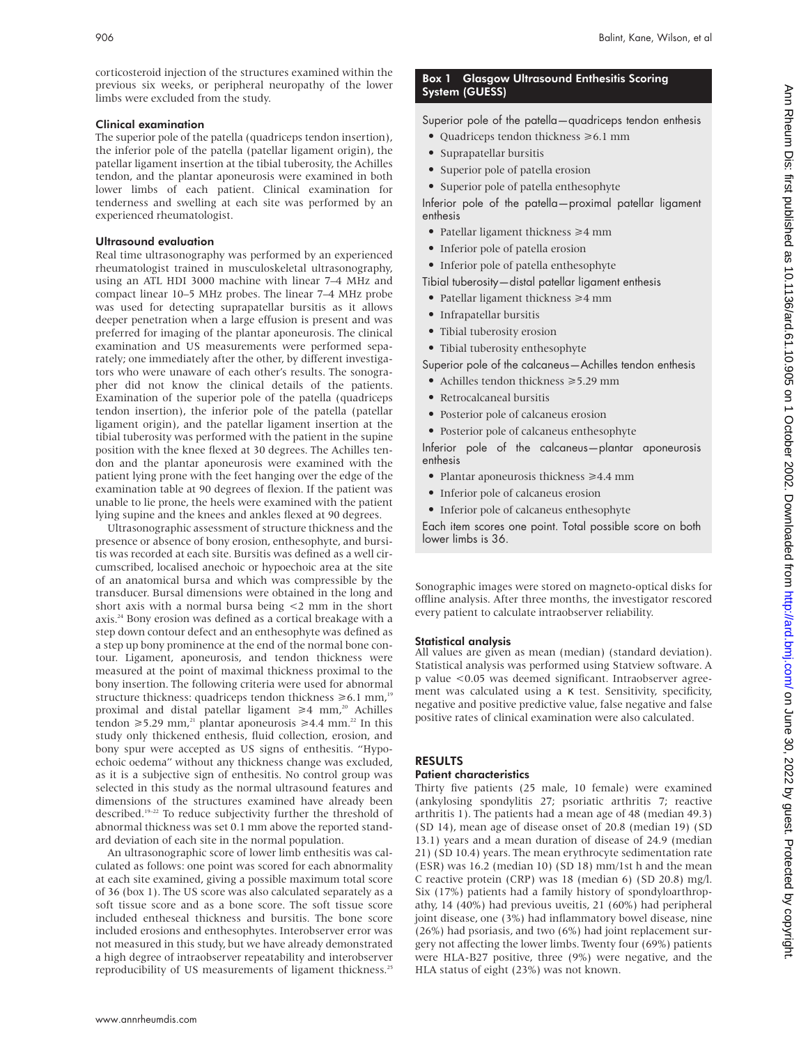corticosteroid injection of the structures examined within the previous six weeks, or peripheral neuropathy of the lower limbs were excluded from the study.

#### Clinical examination

The superior pole of the patella (quadriceps tendon insertion), the inferior pole of the patella (patellar ligament origin), the patellar ligament insertion at the tibial tuberosity, the Achilles tendon, and the plantar aponeurosis were examined in both lower limbs of each patient. Clinical examination for tenderness and swelling at each site was performed by an experienced rheumatologist.

#### Ultrasound evaluation

Real time ultrasonography was performed by an experienced rheumatologist trained in musculoskeletal ultrasonography, using an ATL HDI 3000 machine with linear 7–4 MHz and compact linear 10–5 MHz probes. The linear 7–4 MHz probe was used for detecting suprapatellar bursitis as it allows deeper penetration when a large effusion is present and was preferred for imaging of the plantar aponeurosis. The clinical examination and US measurements were performed separately; one immediately after the other, by different investigators who were unaware of each other's results. The sonographer did not know the clinical details of the patients. Examination of the superior pole of the patella (quadriceps tendon insertion), the inferior pole of the patella (patellar ligament origin), and the patellar ligament insertion at the tibial tuberosity was performed with the patient in the supine position with the knee flexed at 30 degrees. The Achilles tendon and the plantar aponeurosis were examined with the patient lying prone with the feet hanging over the edge of the examination table at 90 degrees of flexion. If the patient was unable to lie prone, the heels were examined with the patient lying supine and the knees and ankles flexed at 90 degrees.

Ultrasonographic assessment of structure thickness and the presence or absence of bony erosion, enthesophyte, and bursitis was recorded at each site. Bursitis was defined as a well circumscribed, localised anechoic or hypoechoic area at the site of an anatomical bursa and which was compressible by the transducer. Bursal dimensions were obtained in the long and short axis with a normal bursa being  $\lt 2$  mm in the short axis.24 Bony erosion was defined as a cortical breakage with a step down contour defect and an enthesophyte was defined as a step up bony prominence at the end of the normal bone contour. Ligament, aponeurosis, and tendon thickness were measured at the point of maximal thickness proximal to the bony insertion. The following criteria were used for abnormal structure thickness: quadriceps tendon thickness  $\geq 6.1$  mm,<sup>19</sup> proximal and distal patellar ligament  $\geq 4$  mm,<sup>20</sup> Achilles tendon  $\geq 5.29$  mm,<sup>21</sup> plantar aponeurosis  $\geq 4.4$  mm.<sup>22</sup> In this study only thickened enthesis, fluid collection, erosion, and bony spur were accepted as US signs of enthesitis. "Hypoechoic oedema" without any thickness change was excluded, as it is a subjective sign of enthesitis. No control group was selected in this study as the normal ultrasound features and dimensions of the structures examined have already been described.19–22 To reduce subjectivity further the threshold of abnormal thickness was set 0.1 mm above the reported standard deviation of each site in the normal population.

An ultrasonographic score of lower limb enthesitis was calculated as follows: one point was scored for each abnormality at each site examined, giving a possible maximum total score of 36 (box 1). The US score was also calculated separately as a soft tissue score and as a bone score. The soft tissue score included entheseal thickness and bursitis. The bone score included erosions and enthesophytes. Interobserver error was not measured in this study, but we have already demonstrated a high degree of intraobserver repeatability and interobserver reproducibility of US measurements of ligament thickness.<sup>25</sup>

### Box 1 Glasgow Ultrasound Enthesitis Scoring System (GUESS)

Superior pole of the patella—quadriceps tendon enthesis

- Quadriceps tendon thickness  $\geq 6.1$  mm
- Suprapatellar bursitis
- Superior pole of patella erosion
- Superior pole of patella enthesophyte

Inferior pole of the patella—proximal patellar ligament enthesis

- Patellar ligament thickness  $\geq 4$  mm
- Inferior pole of patella erosion
- Inferior pole of patella enthesophyte
- Tibial tuberosity—distal patellar ligament enthesis
- Patellar ligament thickness  $\geq 4$  mm
- Infrapatellar bursitis
- Tibial tuberosity erosion
- Tibial tuberosity enthesophyte
- Superior pole of the calcaneus—Achilles tendon enthesis
- Achilles tendon thickness  $\geq 5.29$  mm
- Retrocalcaneal bursitis
- Posterior pole of calcaneus erosion
- Posterior pole of calcaneus enthesophyte

Inferior pole of the calcaneus—plantar aponeurosis enthesis

- Plantar aponeurosis thickness  $\geq 4.4$  mm
- Inferior pole of calcaneus erosion
- Inferior pole of calcaneus enthesophyte

Each item scores one point. Total possible score on both lower limbs is 36.

Sonographic images were stored on magneto-optical disks for offline analysis. After three months, the investigator rescored every patient to calculate intraobserver reliability.

#### Statistical analysis

All values are given as mean (median) (standard deviation). Statistical analysis was performed using Statview software. A p value <0.05 was deemed significant. Intraobserver agreement was calculated using a κ test. Sensitivity, specificity, negative and positive predictive value, false negative and false positive rates of clinical examination were also calculated.

# RESULTS

## Patient characteristics

Thirty five patients (25 male, 10 female) were examined (ankylosing spondylitis 27; psoriatic arthritis 7; reactive arthritis 1). The patients had a mean age of 48 (median 49.3) (SD 14), mean age of disease onset of 20.8 (median 19) (SD 13.1) years and a mean duration of disease of 24.9 (median 21) (SD 10.4) years. The mean erythrocyte sedimentation rate (ESR) was 16.2 (median 10) (SD 18) mm/1st h and the mean C reactive protein (CRP) was 18 (median 6) (SD 20.8) mg/l. Six (17%) patients had a family history of spondyloarthropathy, 14 (40%) had previous uveitis, 21 (60%) had peripheral joint disease, one (3%) had inflammatory bowel disease, nine (26%) had psoriasis, and two (6%) had joint replacement surgery not affecting the lower limbs. Twenty four (69%) patients were HLA-B27 positive, three (9%) were negative, and the HLA status of eight (23%) was not known.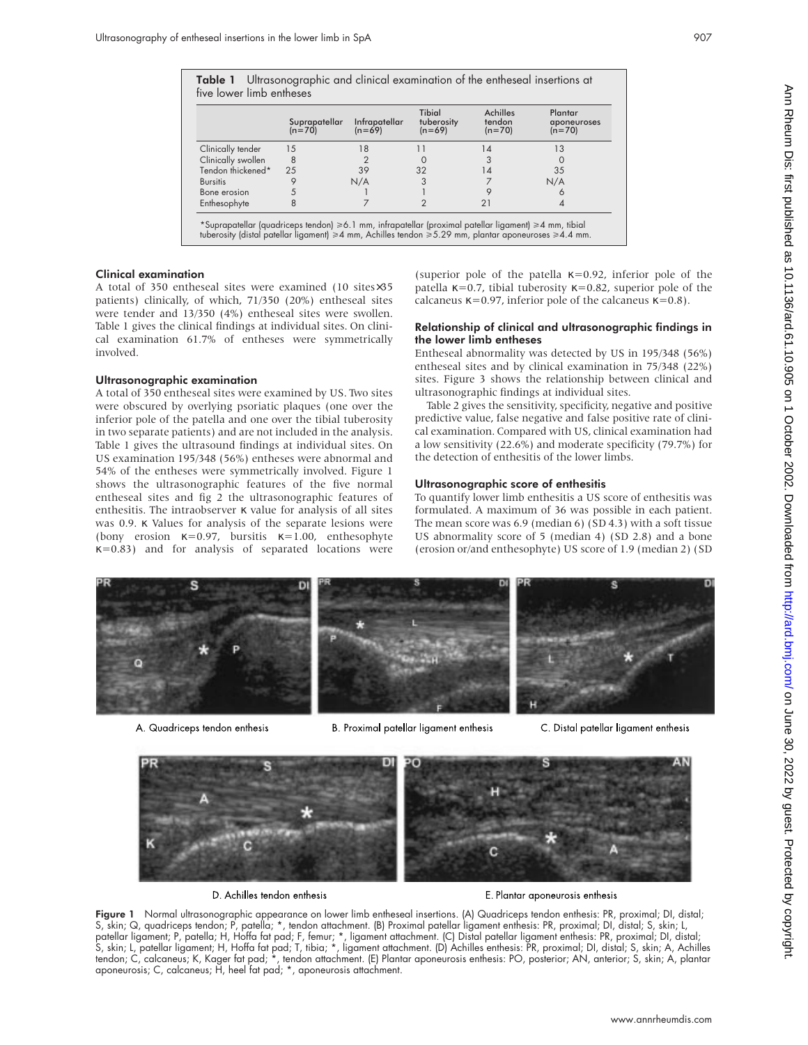| Suprapatellar<br>$(n=70)$ | Infrapatellar<br>$(n=69)$ | <b>Tibial</b><br>tuberosity<br>$(n=69)$ | <b>Achilles</b><br>tendon<br>$(n=70)$ | Plantar<br>aponeurose<br>$(n=70)$                                                                    |
|---------------------------|---------------------------|-----------------------------------------|---------------------------------------|------------------------------------------------------------------------------------------------------|
| 15                        | 18                        | 11                                      | 14                                    | 13                                                                                                   |
| $^{\circ}$ 8              |                           | O                                       | 3                                     | $\Omega$                                                                                             |
| 25                        | 39                        | 32                                      | 14                                    | 35                                                                                                   |
| 9                         | N/A                       | 3                                       |                                       | N/A                                                                                                  |
| 5                         |                           |                                         | 9                                     | 6                                                                                                    |
| 8                         |                           | $\overline{2}$                          | 21                                    | 4                                                                                                    |
|                           |                           |                                         |                                       | *Suprapatellar (quadriceps tendon) ≥6.1 mm, infrapatellar (proximal patellar ligament) ≥4 mm, tibial |

Table 1 Ultrasonographic and clinical examination of the entheseal insertions at

## Clinical exam

A total of 35 patients) clinically, of which, 71/350 (20%) entheseal sites were tender and 13/350 (4%) entheseal sites were swollen. Table 1 gives the clinical findings at individual sites. On clinical examination 61.7% of entheses were symmetrically involved.

#### Ultrasonographic examination

A total of 350 entheseal sites were examined by US. Two sites were obscured by overlying psoriatic plaques (one over the inferior pole of the patella and one over the tibial tuberosity in two separate patients) and are not included in the analysis. Table 1 gives the ultrasound findings at individual sites. On US examination 195/348 (56%) entheses were abnormal and 54% of the entheses were symmetrically involved. Figure 1 shows the ultrasonographic features of the five normal entheseal sites and fig 2 the ultrasonographic features of enthesitis. The intraobserver  $\kappa$  value for analysis of all sites was 0.9. κ Values for analysis of the separate lesions were (bony erosion  $\kappa=0.97$ , bursitis  $\kappa=1.00$ , enthesophyte  $\kappa$ =0.83) and for analysis of separated locations were

lla  $\kappa$ =0.92, inferior pole of the sity  $κ=0.82$ , superior pole of the calcaneus  $κ=0.97$ , inferior pole of the calcaneus  $κ=0.8$ ).

#### Relationship of clinical and ultrasonographic findings in the lower limb entheses

Entheseal abnormality was detected by US in 195/348 (56%) entheseal sites and by clinical examination in 75/348 (22%) sites. Figure 3 shows the relationship between clinical and ultrasonographic findings at individual sites.

Table 2 gives the sensitivity, specificity, negative and positive predictive value, false negative and false positive rate of clinical examination. Compared with US, clinical examination had a low sensitivity (22.6%) and moderate specificity (79.7%) for the detection of enthesitis of the lower limbs.

## Ultrasonographic score of enthesitis

To quantify lower limb enthesitis a US score of enthesitis was formulated. A maximum of 36 was possible in each patient. The mean score was 6.9 (median 6) (SD 4.3) with a soft tissue US abnormality score of 5 (median 4) (SD 2.8) and a bone (erosion or/and enthesophyte) US score of 1.9 (median 2) (SD



A. Quadriceps tendon enthesis

B. Proximal patellar ligament enthesis

C. Distal patellar ligament enthesis



Figure 1 Normal ultrasonographic appearance on lower limb entheseal insertions. (A) Quadriceps tendon enthesis: PR, proximal; DI, distal; S, skin; Q, quadriceps tendon; P, patella; \*, tendon attachment. (B) Proximal patellar ligament enthesis: PR, proximal; DI, distal; S, skin; L, patellar ligament; P, patella; H, Hoffa fat pad; F, femur; \*, ligament attachment. (C) Distal patellar ligament enthesis: PR, proximal; DI, distal; S, skin; L, patellar ligament; H, Hoffa fat pad; T, tibia; \*, ligament attachment. (D) Achilles enthesis: PR, proximal; DI, distal; S, skin; A, Achilles tendon; C, calcaneus; K, Kager fat pad; \*, tendon attachment. (E) Plantar aponeurosis enthesis: PO, posterior; AN, anterior; S, skin; A, plantar aponeurosis; C, calcaneus; H, heel fat pad; \*, aponeurosis attachment.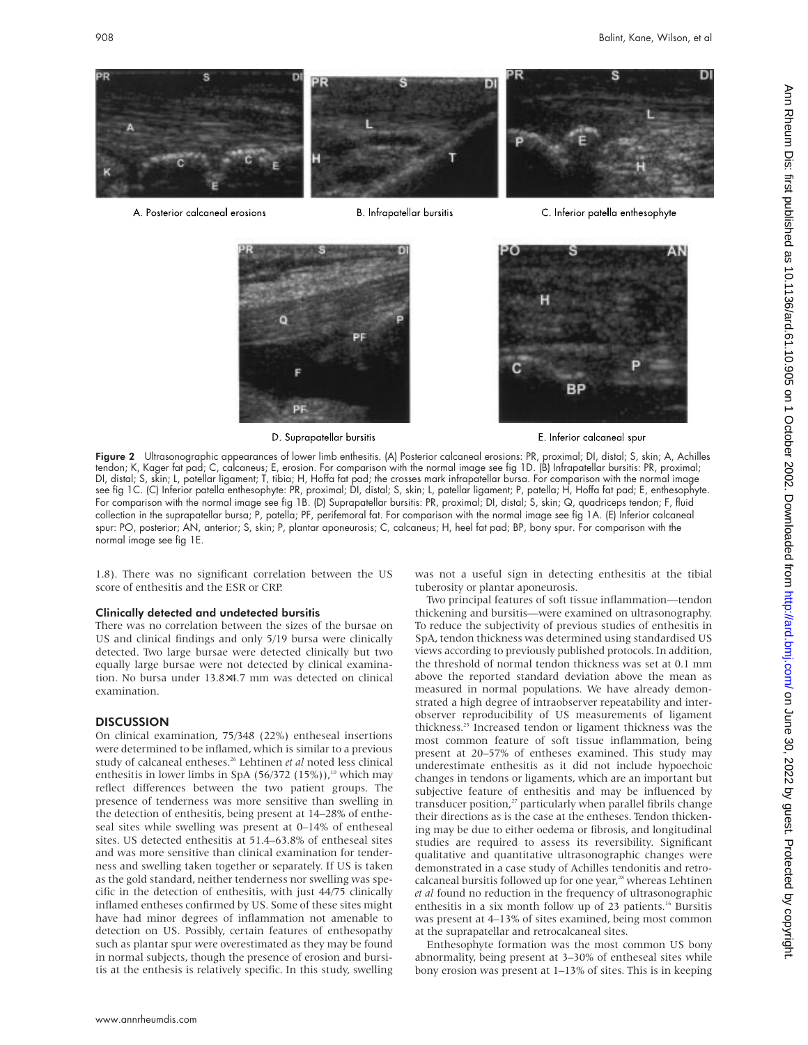

A. Posterior calcaneal erosions

**B.** Infrapatellar bursitis



D. Suprapatellar bursitis

E. Inferior calcaneal spur

BР

C. Inferior patella enthesophyte

Figure 2 Ultrasonographic appearances of lower limb enthesitis. (A) Posterior calcaneal erosions: PR, proximal; DI, distal; S, skin; A, Achilles tendon; K, Kager fat pad; C, calcaneus; E, erosion. For comparison with the normal image see fig 1D. (B) Infrapatellar bursitis: PR, proximal; DI, distal; S, skin; L, patellar ligament; T, tibia; H, Hoffa fat pad; the crosses mark infrapatellar bursa. For comparison with the normal image see fig 1C. (C) Inferior patella enthesophyte: PR, proximal; DI, distal; S, skin; L, patellar ligament; P, patella; H, Hoffa fat pad; E, enthesophyte. For comparison with the normal image see fig 1B. (D) Suprapatellar bursitis: PR, proximal; DI, distal; S, skin; Q, quadriceps tendon; F, fluid collection in the suprapatellar bursa; P, patella; PF, perifemoral fat. For comparison with the normal image see fig 1A. (E) Inferior calcaneal spur: PO, posterior; AN, anterior; S, skin; P, plantar aponeurosis; C, calcaneus; H, heel fat pad; BP, bony spur. For comparison with the normal image see fig 1E.

1.8). There was no significant correlation between the US score of enthesitis and the ESR or CRP.

#### Clinically detected and undetected bursitis

There was no correlation between the sizes of the bursae on US and clinical findings and only 5/19 bursa were clinically detected. Two large bursae were detected clinically but two equally large bursae were not detected by clinical examination. No bursa under 13.8×4.7 mm was detected on clinical examination.

#### **DISCUSSION**

On clinical examination, 75/348 (22%) entheseal insertions were determined to be inflamed, which is similar to a previous study of calcaneal entheses.26 Lehtinen *et al* noted less clinical enthesitis in lower limbs in SpA (56/372 (15%)),<sup>10</sup> which may reflect differences between the two patient groups. The presence of tenderness was more sensitive than swelling in the detection of enthesitis, being present at 14–28% of entheseal sites while swelling was present at 0–14% of entheseal sites. US detected enthesitis at 51.4–63.8% of entheseal sites and was more sensitive than clinical examination for tenderness and swelling taken together or separately. If US is taken as the gold standard, neither tenderness nor swelling was specific in the detection of enthesitis, with just 44/75 clinically inflamed entheses confirmed by US. Some of these sites might have had minor degrees of inflammation not amenable to detection on US. Possibly, certain features of enthesopathy such as plantar spur were overestimated as they may be found in normal subjects, though the presence of erosion and bursitis at the enthesis is relatively specific. In this study, swelling

was not a useful sign in detecting enthesitis at the tibial tuberosity or plantar aponeurosis.

Two principal features of soft tissue inflammation—tendon thickening and bursitis—were examined on ultrasonography. To reduce the subjectivity of previous studies of enthesitis in SpA, tendon thickness was determined using standardised US views according to previously published protocols. In addition, the threshold of normal tendon thickness was set at 0.1 mm above the reported standard deviation above the mean as measured in normal populations. We have already demonstrated a high degree of intraobserver repeatability and interobserver reproducibility of US measurements of ligament thickness.25 Increased tendon or ligament thickness was the most common feature of soft tissue inflammation, being present at 20–57% of entheses examined. This study may underestimate enthesitis as it did not include hypoechoic changes in tendons or ligaments, which are an important but subjective feature of enthesitis and may be influenced by transducer position,<sup>27</sup> particularly when parallel fibrils change their directions as is the case at the entheses. Tendon thickening may be due to either oedema or fibrosis, and longitudinal studies are required to assess its reversibility. Significant qualitative and quantitative ultrasonographic changes were demonstrated in a case study of Achilles tendonitis and retrocalcaneal bursitis followed up for one year,<sup>28</sup> whereas Lehtinen *et al* found no reduction in the frequency of ultrasonographic enthesitis in a six month follow up of 23 patients.<sup>16</sup> Bursitis was present at 4–13% of sites examined, being most common at the suprapatellar and retrocalcaneal sites.

Enthesophyte formation was the most common US bony abnormality, being present at 3–30% of entheseal sites while bony erosion was present at 1–13% of sites. This is in keeping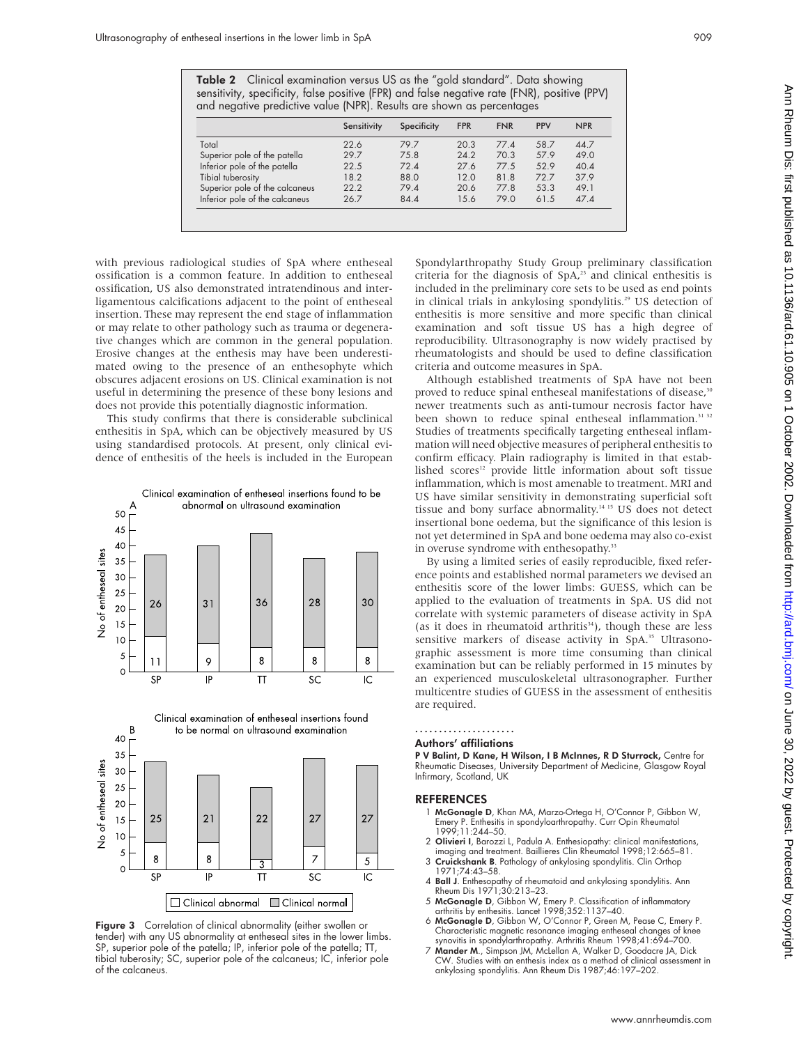Table 2 Clinical examination versus US as the "gold standard". Data showing sensitivity, specificity, false positive (FPR) and false negative rate (FNR), positive (PPV) and negative predictive value (NPR). Results are shown as percentages

|                                | Sensitivity | Specificity | <b>FPR</b> | <b>FNR</b> | <b>PPV</b> | <b>NPR</b> |
|--------------------------------|-------------|-------------|------------|------------|------------|------------|
| Total                          | 22.6        | 79.7        | 20.3       | 77.4       | 58.7       | 44.7       |
| Superior pole of the patella   | 29.7        | 75.8        | 24.2       | 70.3       | 57.9       | 49.0       |
| Inferior pole of the patella   | 22.5        | 72.4        | 27.6       | 77.5       | 52.9       | 40.4       |
| Tibial tuberosity              | 18.2        | 88.0        | 12.0       | 81.8       | 72.7       | 37.9       |
| Superior pole of the calcaneus | 22.2        | 79.4        | 20.6       | 77.8       | 53.3       | 49.1       |
| Inferior pole of the calcaneus | 26.7        | 84.4        | 15.6       | 79.0       | 61.5       | 47.4       |

with previous radiological studies of SpA where entheseal ossification is a common feature. In addition to entheseal ossification, US also demonstrated intratendinous and interligamentous calcifications adjacent to the point of entheseal insertion. These may represent the end stage of inflammation or may relate to other pathology such as trauma or degenerative changes which are common in the general population. Erosive changes at the enthesis may have been underestimated owing to the presence of an enthesophyte which obscures adjacent erosions on US. Clinical examination is not useful in determining the presence of these bony lesions and does not provide this potentially diagnostic information.

This study confirms that there is considerable subclinical enthesitis in SpA, which can be objectively measured by US using standardised protocols. At present, only clinical evidence of enthesitis of the heels is included in the European





Figure 3 Correlation of clinical abnormality (either swollen or tender) with any US abnormality at entheseal sites in the lower limbs. SP, superior pole of the patella; IP, inferior pole of the patella; TT, tibial tuberosity; SC, superior pole of the calcaneus; IC, inferior pole of the calcaneus.

Spondylarthropathy Study Group preliminary classification criteria for the diagnosis of  $SpA<sub>23</sub>$  and clinical enthesitis is included in the preliminary core sets to be used as end points in clinical trials in ankylosing spondylitis.<sup>29</sup> US detection of enthesitis is more sensitive and more specific than clinical examination and soft tissue US has a high degree of reproducibility. Ultrasonography is now widely practised by rheumatologists and should be used to define classification criteria and outcome measures in SpA.

Although established treatments of SpA have not been proved to reduce spinal entheseal manifestations of disease,<sup>30</sup> newer treatments such as anti-tumour necrosis factor have been shown to reduce spinal entheseal inflammation.<sup>31</sup> Studies of treatments specifically targeting entheseal inflammation will need objective measures of peripheral enthesitis to confirm efficacy. Plain radiography is limited in that established scores<sup>12</sup> provide little information about soft tissue inflammation, which is most amenable to treatment. MRI and US have similar sensitivity in demonstrating superficial soft tissue and bony surface abnormality.14 15 US does not detect insertional bone oedema, but the significance of this lesion is not yet determined in SpA and bone oedema may also co-exist in overuse syndrome with enthesopathy.<sup>33</sup>

By using a limited series of easily reproducible, fixed reference points and established normal parameters we devised an enthesitis score of the lower limbs: GUESS, which can be applied to the evaluation of treatments in SpA. US did not correlate with systemic parameters of disease activity in SpA (as it does in rheumatoid arthritis $34$ ), though these are less sensitive markers of disease activity in SpA.<sup>35</sup> Ultrasonographic assessment is more time consuming than clinical examination but can be reliably performed in 15 minutes by an experienced musculoskeletal ultrasonographer. Further multicentre studies of GUESS in the assessment of enthesitis are required.

# .....................

#### Authors' affiliations

P V Balint, D Kane, H Wilson, I B McInnes, R D Sturrock, Centre for Rheumatic Diseases, University Department of Medicine, Glasgow Royal Infirmary, Scotland, UK

#### REFERENCES

- 1 McGonagle D, Khan MA, Marzo-Ortega H, O'Connor P, Gibbon W, Emery P. Enthesitis in spondyloarthropathy. Curr Opin Rheumatol 1999;11:244–50.
- 2 Olivieri I, Barozzi L, Padula A. Enthesiopathy: clinical manifestations, imaging and treatment. Baillieres Clin Rheumatol 1998;12:665–81.
- 3 Cruickshank B. Pathology of ankylosing spondylitis. Clin Orthop 1971;74:43–58.
- 4 Ball J. Enthesopathy of rheumatoid and ankylosing spondylitis. Ann Rheum Dis 1971;30:213–23.
- 5 McGonagle D, Gibbon W, Emery P. Classification of inflammatory
- arthritis by enthesitis. Lancet 1998;352:1137–40.<br>6 **McGonagle D**, Gibbon W, O'Connor P, Green M, Pease C, Emery P. Characteristic magnetic resonance imaging entheseal changes of knee synovitis in spondylarthropathy. Arthritis Rheum 1998;41:694–700.
- 7 Mander M., Simpson JM, McLellan A, Walker D, Goodacre JA, Dick CW. Studies with an enthesis index as a method of clinical assessment in ankylosing spondylitis. Ann Rheum Dis 1987;46:197–202.